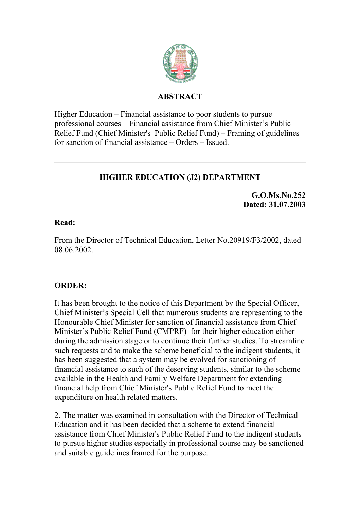

#### **ABSTRACT**

Higher Education – Financial assistance to poor students to pursue professional courses – Financial assistance from Chief Minister's Public Relief Fund (Chief Minister's Public Relief Fund) – Framing of guidelines for sanction of financial assistance – Orders – Issued.

# **HIGHER EDUCATION (J2) DEPARTMENT**

**G.O.Ms.No.252 Dated: 31.07.2003**

#### **Read:**

From the Director of Technical Education, Letter No.20919/F3/2002, dated 08.06.2002.

### **ORDER:**

It has been brought to the notice of this Department by the Special Officer, Chief Minister's Special Cell that numerous students are representing to the Honourable Chief Minister for sanction of financial assistance from Chief Minister's Public Relief Fund (CMPRF) for their higher education either during the admission stage or to continue their further studies. To streamline such requests and to make the scheme beneficial to the indigent students, it has been suggested that a system may be evolved for sanctioning of financial assistance to such of the deserving students, similar to the scheme available in the Health and Family Welfare Department for extending financial help from Chief Minister's Public Relief Fund to meet the expenditure on health related matters.

2. The matter was examined in consultation with the Director of Technical Education and it has been decided that a scheme to extend financial assistance from Chief Minister's Public Relief Fund to the indigent students to pursue higher studies especially in professional course may be sanctioned and suitable guidelines framed for the purpose.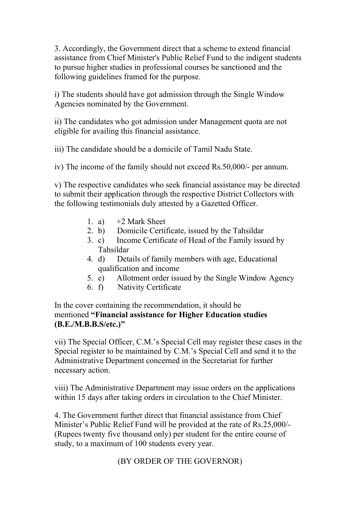3. Accordingly, the Government direct that a scheme to extend financial assistance from Chief Minister's Public Relief Fund to the indigent students to pursue higher studies in professional courses be sanctioned and the following guidelines framed for the purpose.

i) The students should have got admission through the Single Window Agencies nominated by the Government.

ii) The candidates who got admission under Management quota are not eligible for availing this financial assistance.

iii) The candidate should be a domicile of Tamil Nadu State.

iv) The income of the family should not exceed Rs.50,000/- per annum.

v) The respective candidates who seek financial assistance may be directed to submit their application through the respective District Collectors with the following testimonials duly attested by a Gazetted Officer.

- 1. a)  $+2$  Mark Sheet
- 2. b) Domicile Certificate, issued by the Tahsildar
- 3. c) Income Certificate of Head of the Family issued by Tahsildar
- 4. d) Details of family members with age, Educational qualification and income
- 5. e) Allotment order issued by the Single Window Agency
- 6. f) Nativity Certificate

In the cover containing the recommendation, it should be mentioned **"Financial assistance for Higher Education studies (B.E./M.B.B.S/etc.)"**

vii) The Special Officer, C.M.'s Special Cell may register these cases in the Special register to be maintained by C.M.'s Special Cell and send it to the Administrative Department concerned in the Secretariat for further necessary action.

viii) The Administrative Department may issue orders on the applications within 15 days after taking orders in circulation to the Chief Minister.

4. The Government further direct that financial assistance from Chief Minister's Public Relief Fund will be provided at the rate of Rs.25,000/- (Rupees twenty five thousand only) per student for the entire course of study, to a maximum of 100 students every year.

(BY ORDER OF THE GOVERNOR)